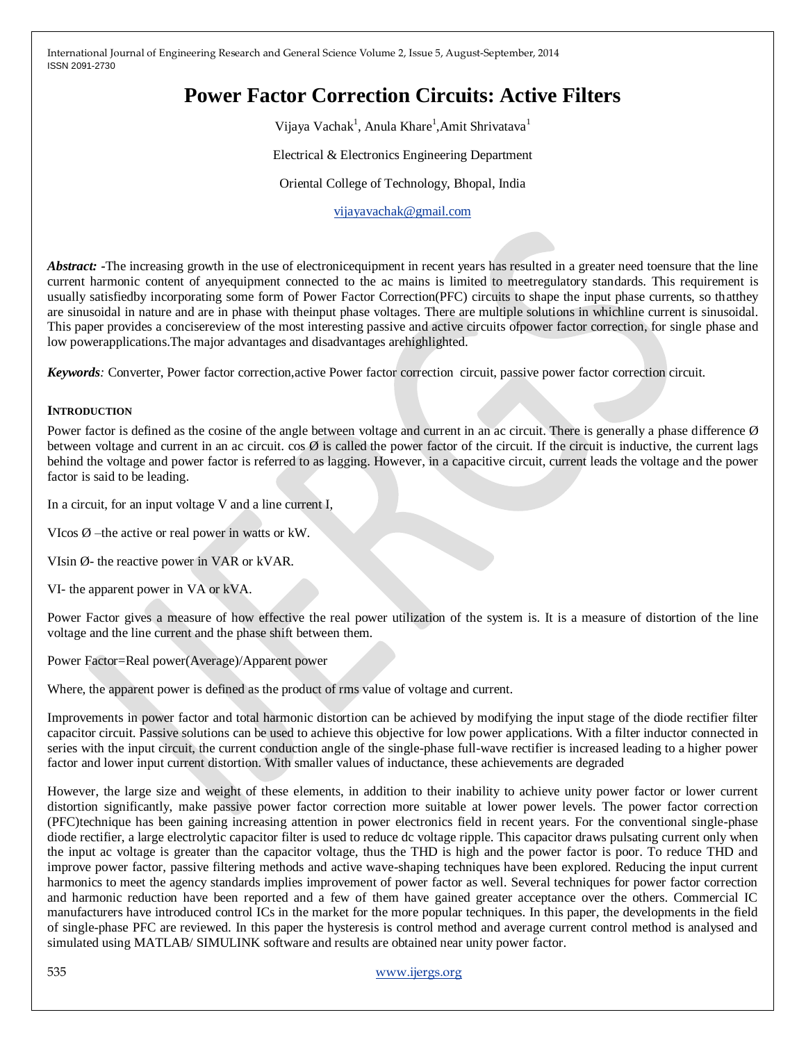# **Power Factor Correction Circuits: Active Filters**

Vijaya Vachak<sup>1</sup>, Anula Khare<sup>1</sup>, Amit Shrivatava<sup>1</sup>

Electrical & Electronics Engineering Department

Oriental College of Technology, Bhopal, India

[vijayavachak@gmail.com](mailto:vijayavachak@gmail.com)

*Abstract:* -The increasing growth in the use of electronicequipment in recent years has resulted in a greater need toensure that the line current harmonic content of anyequipment connected to the ac mains is limited to meetregulatory standards. This requirement is usually satisfiedby incorporating some form of Power Factor Correction(PFC) circuits to shape the input phase currents, so thatthey are sinusoidal in nature and are in phase with theinput phase voltages. There are multiple solutions in whichline current is sinusoidal. This paper provides a concisereview of the most interesting passive and active circuits ofpower factor correction, for single phase and low powerapplications.The major advantages and disadvantages arehighlighted.

*Keywords:* Converter, Power factor correction,active Power factor correction circuit, passive power factor correction circuit.

#### **INTRODUCTION**

Power factor is defined as the cosine of the angle between voltage and current in an ac circuit. There is generally a phase difference  $\emptyset$ between voltage and current in an ac circuit.  $\cos \emptyset$  is called the power factor of the circuit. If the circuit is inductive, the current lags behind the voltage and power factor is referred to as lagging. However, in a capacitive circuit, current leads the voltage and the power factor is said to be leading.

In a circuit, for an input voltage V and a line current I,

VIcos  $\emptyset$  –the active or real power in watts or kW.

VIsin Ø- the reactive power in VAR or kVAR.

VI- the apparent power in VA or kVA.

Power Factor gives a measure of how effective the real power utilization of the system is. It is a measure of distortion of the line voltage and the line current and the phase shift between them.

Power Factor=Real power(Average)/Apparent power

Where, the apparent power is defined as the product of rms value of voltage and current.

Improvements in power factor and total harmonic distortion can be achieved by modifying the input stage of the diode rectifier filter capacitor circuit. Passive solutions can be used to achieve this objective for low power applications. With a filter inductor connected in series with the input circuit, the current conduction angle of the single-phase full-wave rectifier is increased leading to a higher power factor and lower input current distortion. With smaller values of inductance, these achievements are degraded

However, the large size and weight of these elements, in addition to their inability to achieve unity power factor or lower current distortion significantly, make passive power factor correction more suitable at lower power levels. The power factor correction (PFC)technique has been gaining increasing attention in power electronics field in recent years. For the conventional single-phase diode rectifier, a large electrolytic capacitor filter is used to reduce dc voltage ripple. This capacitor draws pulsating current only when the input ac voltage is greater than the capacitor voltage, thus the THD is high and the power factor is poor. To reduce THD and improve power factor, passive filtering methods and active wave-shaping techniques have been explored. Reducing the input current harmonics to meet the agency standards implies improvement of power factor as well. Several techniques for power factor correction and harmonic reduction have been reported and a few of them have gained greater acceptance over the others. Commercial IC manufacturers have introduced control ICs in the market for the more popular techniques. In this paper, the developments in the field of single-phase PFC are reviewed. In this paper the hysteresis is control method and average current control method is analysed and simulated using MATLAB/ SIMULINK software and results are obtained near unity power factor.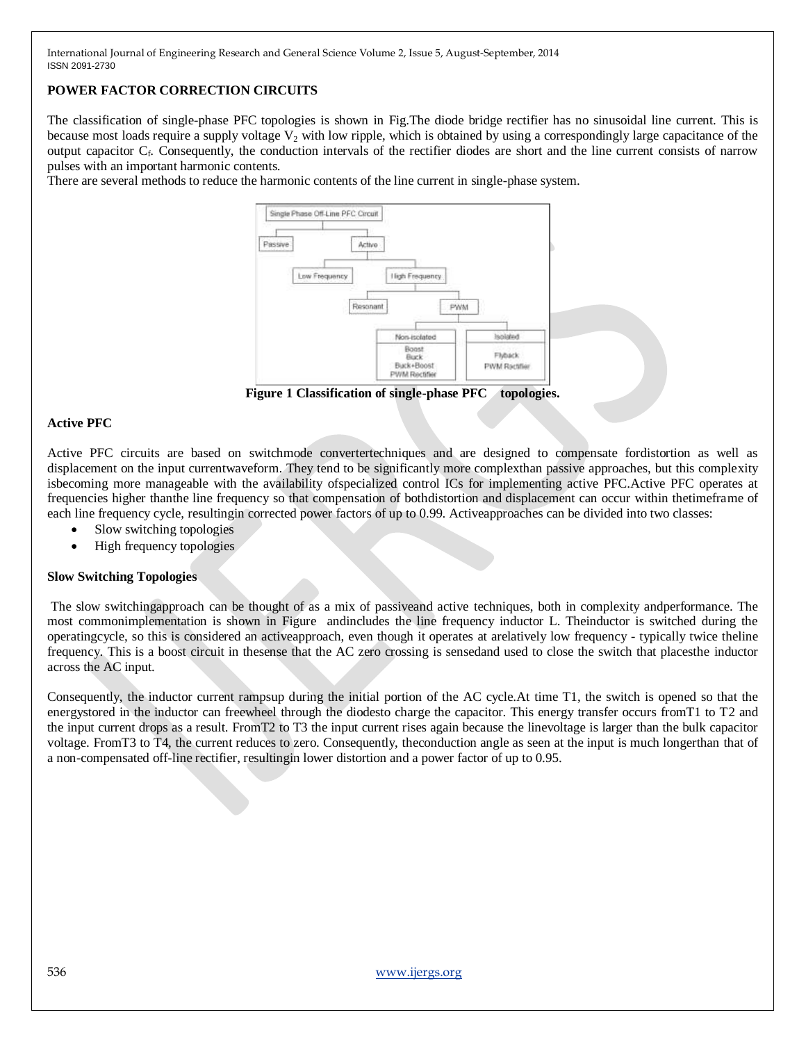# **POWER FACTOR CORRECTION CIRCUITS**

The classification of single-phase PFC topologies is shown in Fig.The diode bridge rectifier has no sinusoidal line current. This is because most loads require a supply voltage  $V_2$  with low ripple, which is obtained by using a correspondingly large capacitance of the output capacitor C<sub>f</sub>. Consequently, the conduction intervals of the rectifier diodes are short and the line current consists of narrow pulses with an important harmonic contents.

There are several methods to reduce the harmonic contents of the line current in single-phase system.



**Figure 1 Classification of single-phase PFC topologies.**

#### **Active PFC**

Active PFC circuits are based on switchmode convertertechniques and are designed to compensate fordistortion as well as displacement on the input currentwaveform. They tend to be significantly more complexthan passive approaches, but this complexity isbecoming more manageable with the availability ofspecialized control ICs for implementing active PFC.Active PFC operates at frequencies higher thanthe line frequency so that compensation of bothdistortion and displacement can occur within thetimeframe of each line frequency cycle, resultingin corrected power factors of up to 0.99. Activeapproaches can be divided into two classes:

- Slow switching topologies
- High frequency topologies

#### **Slow Switching Topologies**

The slow switchingapproach can be thought of as a mix of passiveand active techniques, both in complexity andperformance. The most commonimplementation is shown in Figure andincludes the line frequency inductor L. Theinductor is switched during the operatingcycle, so this is considered an activeapproach, even though it operates at arelatively low frequency - typically twice theline frequency. This is a boost circuit in thesense that the AC zero crossing is sensedand used to close the switch that placesthe inductor across the AC input.

Consequently, the inductor current rampsup during the initial portion of the AC cycle.At time T1, the switch is opened so that the energystored in the inductor can freewheel through the diodesto charge the capacitor. This energy transfer occurs fromT1 to T2 and the input current drops as a result. FromT2 to T3 the input current rises again because the linevoltage is larger than the bulk capacitor voltage. FromT3 to T4, the current reduces to zero. Consequently, theconduction angle as seen at the input is much longerthan that of a non-compensated off-line rectifier, resultingin lower distortion and a power factor of up to 0.95.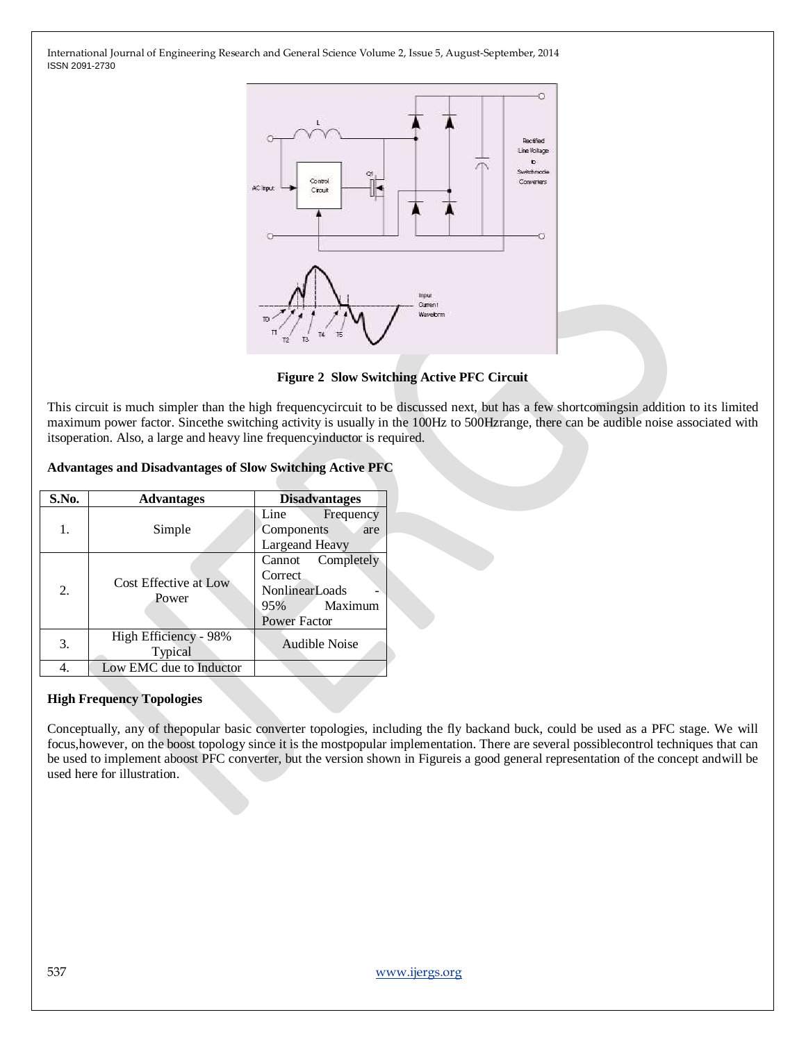

**Figure 2 Slow Switching Active PFC Circuit**

This circuit is much simpler than the high frequencycircuit to be discussed next, but has a few shortcomingsin addition to its limited maximum power factor. Sincethe switching activity is usually in the 100Hz to 500Hzrange, there can be audible noise associated with itsoperation. Also, a large and heavy line frequencyinductor is required.

#### **Advantages and Disadvantages of Slow Switching Active PFC**

| S.No. | <b>Advantages</b>                                        | <b>Disadvantages</b>                                                                        |
|-------|----------------------------------------------------------|---------------------------------------------------------------------------------------------|
| 1.    | Simple                                                   | Line<br>Frequency<br>Components<br>are<br><b>Largeand Heavy</b>                             |
| 2.    | Cost Effective at Low<br>Power                           | Completely<br>Cannot<br>Correct.<br><b>NonlinearLoads</b><br>Maximum<br>95%<br>Power Factor |
| 3.    | High Efficiency - 98%<br><b>Audible Noise</b><br>Typical |                                                                                             |
|       | Low EMC due to Inductor                                  |                                                                                             |

## **High Frequency Topologies**

Conceptually, any of thepopular basic converter topologies, including the fly backand buck, could be used as a PFC stage. We will focus,however, on the boost topology since it is the mostpopular implementation. There are several possiblecontrol techniques that can be used to implement aboost PFC converter, but the version shown in Figureis a good general representation of the concept andwill be used here for illustration.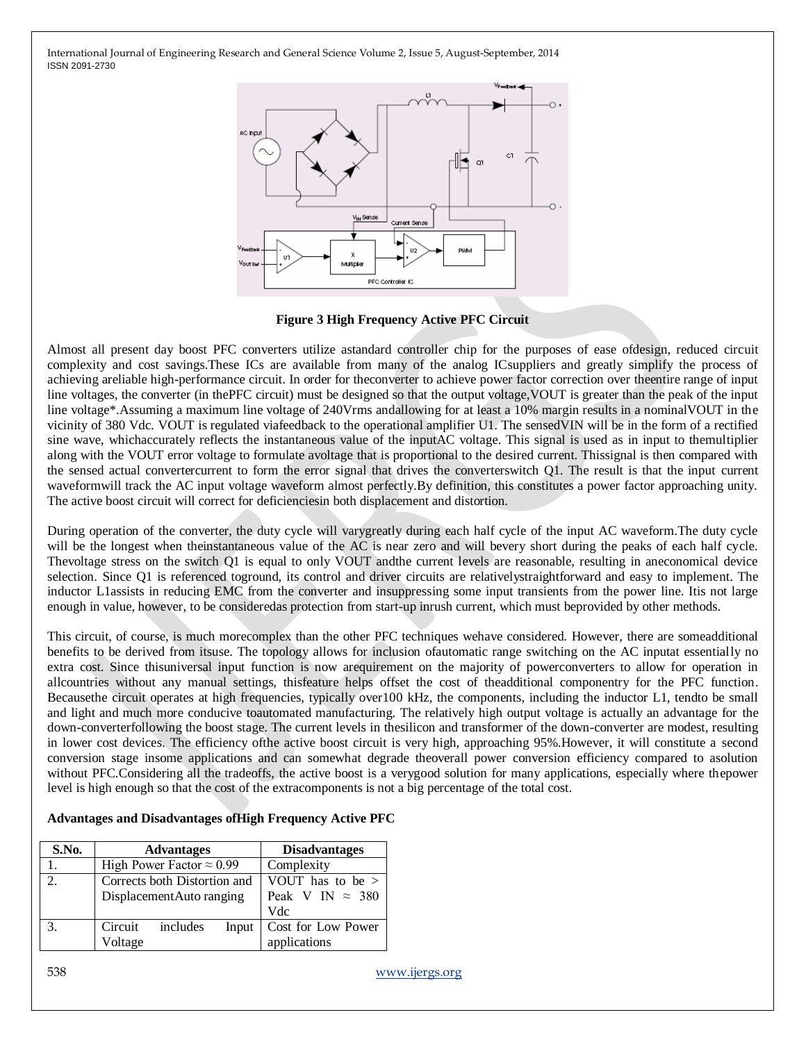

#### **Figure 3 High Frequency Active PFC Circuit**

Almost all present day boost PFC converters utilize astandard controller chip for the purposes of ease ofdesign, reduced circuit complexity and cost savings.These ICs are available from many of the analog ICsuppliers and greatly simplify the process of achieving areliable high-performance circuit. In order for theconverter to achieve power factor correction over theentire range of input line voltages, the converter (in thePFC circuit) must be designed so that the output voltage,VOUT is greater than the peak of the input line voltage\*.Assuming a maximum line voltage of 240Vrms andallowing for at least a 10% margin results in a nominalVOUT in the vicinity of 380 Vdc. VOUT is regulated viafeedback to the operational amplifier U1. The sensedVIN will be in the form of a rectified sine wave, whichaccurately reflects the instantaneous value of the inputAC voltage. This signal is used as in input to themultiplier along with the VOUT error voltage to formulate avoltage that is proportional to the desired current. Thissignal is then compared with the sensed actual convertercurrent to form the error signal that drives the converterswitch Q1. The result is that the input current waveformwill track the AC input voltage waveform almost perfectly.By definition, this constitutes a power factor approaching unity. The active boost circuit will correct for deficienciesin both displacement and distortion.

During operation of the converter, the duty cycle will varygreatly during each half cycle of the input AC waveform.The duty cycle will be the longest when theinstantaneous value of the AC is near zero and will bevery short during the peaks of each half cycle. Thevoltage stress on the switch Q1 is equal to only VOUT andthe current levels are reasonable, resulting in aneconomical device selection. Since Q1 is referenced toground, its control and driver circuits are relativelystraightforward and easy to implement. The inductor L1assists in reducing EMC from the converter and insuppressing some input transients from the power line. Itis not large enough in value, however, to be consideredas protection from start-up inrush current, which must beprovided by other methods.

This circuit, of course, is much morecomplex than the other PFC techniques wehave considered. However, there are someadditional benefits to be derived from itsuse. The topology allows for inclusion ofautomatic range switching on the AC inputat essentially no extra cost. Since thisuniversal input function is now arequirement on the majority of powerconverters to allow for operation in allcountries without any manual settings, thisfeature helps offset the cost of theadditional componentry for the PFC function. Becausethe circuit operates at high frequencies, typically over100 kHz, the components, including the inductor L1, tendto be small and light and much more conducive toautomated manufacturing. The relatively high output voltage is actually an advantage for the down-converterfollowing the boost stage. The current levels in thesilicon and transformer of the down-converter are modest, resulting in lower cost devices. The efficiency ofthe active boost circuit is very high, approaching 95%.However, it will constitute a second conversion stage insome applications and can somewhat degrade theoverall power conversion efficiency compared to asolution without PFC.Considering all the tradeoffs, the active boost is a verygood solution for many applications, especially where thepower level is high enough so that the cost of the extracomponents is not a big percentage of the total cost.

| S.No.         |                                  | <b>Advantages</b> |                         | <b>Disadvantages</b> |
|---------------|----------------------------------|-------------------|-------------------------|----------------------|
|               | High Power Factor $\approx 0.99$ |                   | Complexity              |                      |
| $\mathcal{D}$ | Corrects both Distortion and     |                   | VOUT has to be >        |                      |
|               | DisplacementAuto ranging         |                   | Peak V IN $\approx$ 380 |                      |
|               |                                  |                   |                         | Vdc                  |
| 3.            | Circuit                          | includes          | Input                   | Cost for Low Power   |
|               | Voltage                          |                   |                         | applications         |

**Advantages and Disadvantages ofHigh Frequency Active PFC**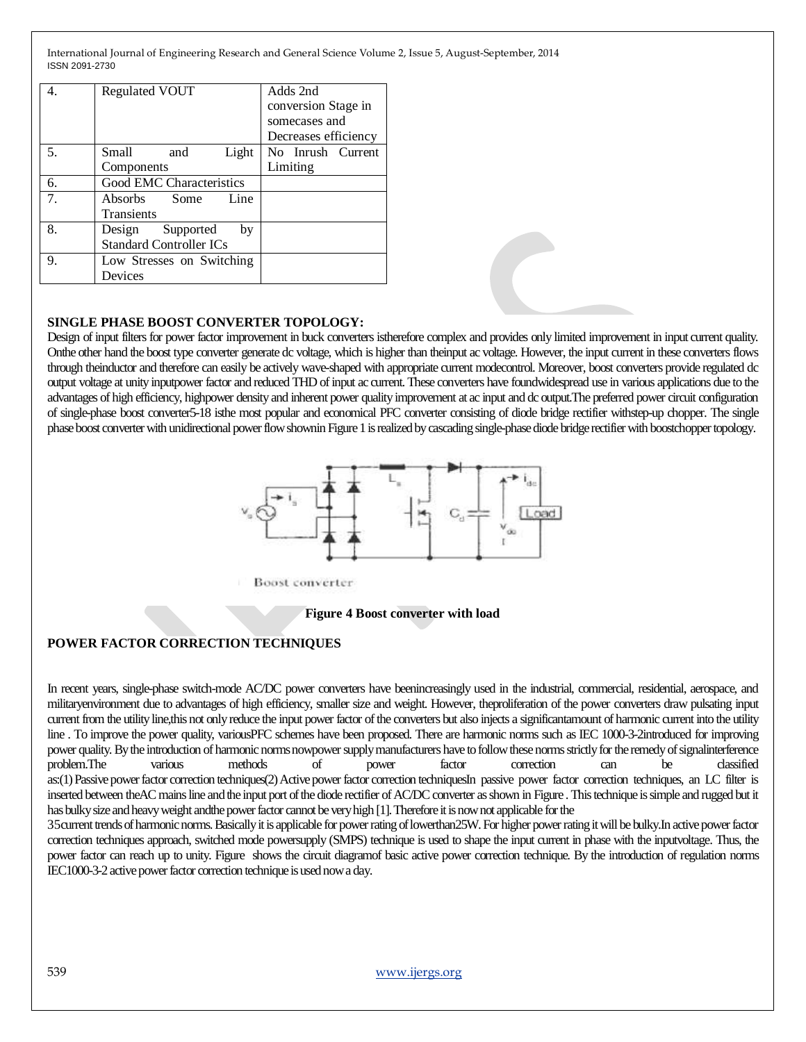|    | <b>Regulated VOUT</b>          | Adds 2nd<br>conversion Stage in<br>somecases and<br>Decreases efficiency |
|----|--------------------------------|--------------------------------------------------------------------------|
| 5. | Light<br>Small<br>and          | No Inrush Current                                                        |
|    | Components                     | Limiting                                                                 |
| 6. | Good EMC Characteristics       |                                                                          |
| 7. | Absorbs Some<br>Line           |                                                                          |
|    | <b>Transients</b>              |                                                                          |
| 8. | Design Supported<br>by         |                                                                          |
|    | <b>Standard Controller ICs</b> |                                                                          |
| 9. | Low Stresses on Switching      |                                                                          |
|    | Devices                        |                                                                          |

## **SINGLE PHASE BOOST CONVERTER TOPOLOGY:**

Design of input filters for power factor improvement in buck converters istherefore complex and provides only limited improvement in input current quality. Onthe other hand the boost type converter generate dc voltage, which is higher than theinput ac voltage. However, the input current in these converters flows through theinductor and therefore can easily be actively wave-shaped with appropriate current modecontrol. Moreover, boost converters provide regulated dc output voltage at unity inputpower factor and reduced THD of input ac current. These converters have foundwidespread use in various applications due to the advantages of high efficiency, highpower density and inherent power quality improvement at ac input and dc output.The preferred power circuit configuration of single-phase boost converter5-18 isthe most popular and economical PFC converter consisting of diode bridge rectifier withstep-up chopper. The single phase boost converter with unidirectional power flow shownin Figure 1 is realized by cascading single-phase diode bridge rectifier with boostchopper topology.



**Boost** converter

#### **Figure 4 Boost converter with load**

#### **POWER FACTOR CORRECTION TECHNIQUES**

In recent years, single-phase switch-mode AC/DC power converters have beenincreasingly used in the industrial, commercial, residential, aerospace, and militaryenvironment due to advantages of high efficiency, smaller size and weight. However, theproliferation of the power converters draw pulsating input current from the utility line,this not only reduce the input power factor of the converters but also injects a significantamount of harmonic current into the utility line . To improve the power quality, variousPFC schemes have been proposed. There are harmonic norms such as IEC 1000-3-2introduced for improving power quality. By the introduction of harmonic norms nowpower supply manufacturers have to follow these norms strictly for the remedy of signalinterference problem.The various methods of power factor correction can be classified as:(1) Passive power factor correction techniques(2) Active power factor correction techniquesIn passive power factor correction techniques, an LC filter is inserted between theAC mains line and the input port of the diode rectifier of AC/DC converter as shown in Figure . This technique is simple and rugged but it has bulky size and heavy weight andthe power factor cannot be very high [1]. Therefore it is now not applicable for the

35current trends of harmonic norms. Basically it is applicable for power rating of lowerthan25W. For higher power rating it will be bulky.In active power factor correction techniques approach, switched mode powersupply (SMPS) technique is used to shape the input current in phase with the inputvoltage. Thus, the power factor can reach up to unity. Figure shows the circuit diagramof basic active power correction technique. By the introduction of regulation norms IEC1000-3-2 active power factor correction technique is used now a day.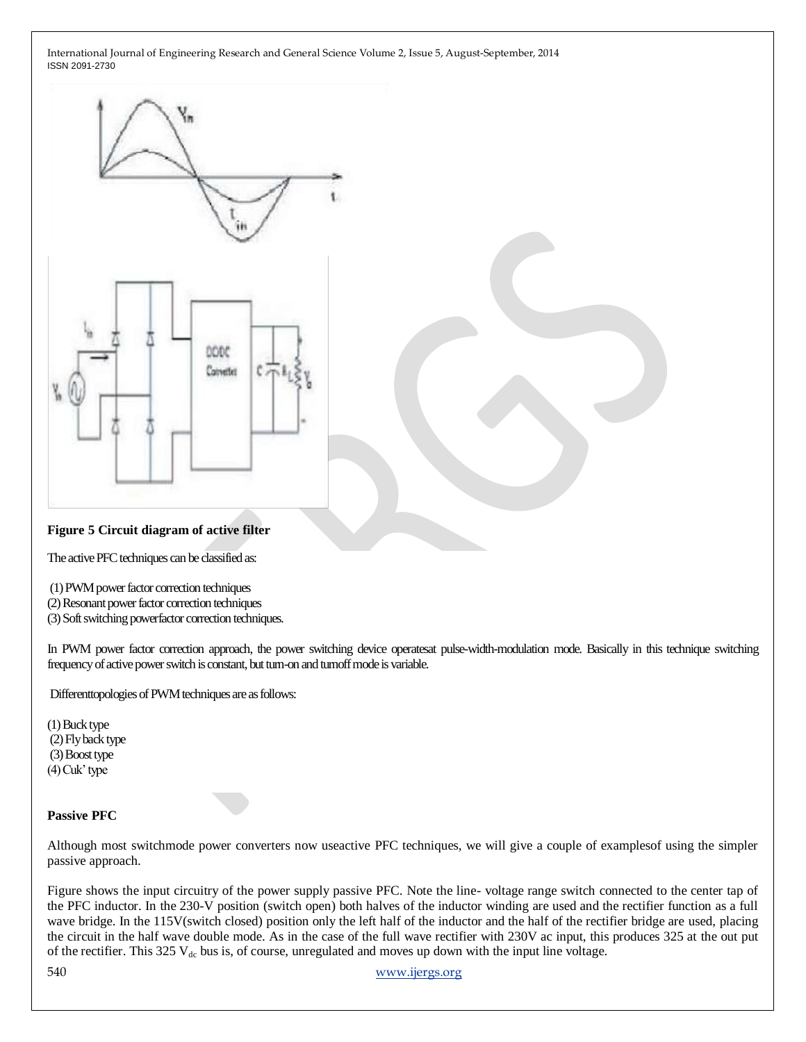

#### **Figure 5 Circuit diagram of active filter**

The active PFC techniques can be classified as:

(1) PWM power factor correction techniques

(2) Resonant power factor correction techniques

(3) Soft switching powerfactor correction techniques.

In PWM power factor correction approach, the power switching device operatesat pulse-width-modulation mode. Basically in this technique switching frequency of active power switch is constant, but turn-on and turnoff mode is variable.

Differenttopologies of PWM techniques are as follows:

(1) Buck type (2) Fly back type (3) Boost type (4) Cuk' type

#### **Passive PFC**

Although most switchmode power converters now useactive PFC techniques, we will give a couple of examplesof using the simpler passive approach.

Figure shows the input circuitry of the power supply passive PFC. Note the line- voltage range switch connected to the center tap of the PFC inductor. In the 230-V position (switch open) both halves of the inductor winding are used and the rectifier function as a full wave bridge. In the 115V(switch closed) position only the left half of the inductor and the half of the rectifier bridge are used, placing the circuit in the half wave double mode. As in the case of the full wave rectifier with 230V ac input, this produces 325 at the out put of the rectifier. This 325  $V_{dc}$  bus is, of course, unregulated and moves up down with the input line voltage.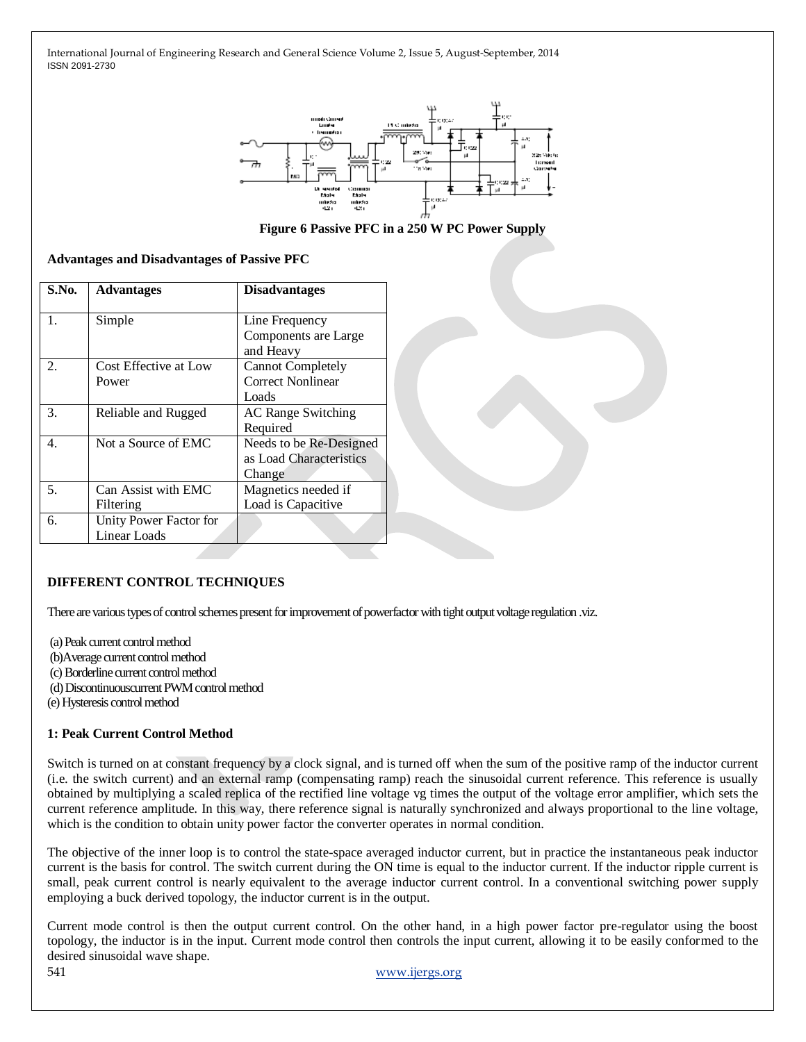

**Figure 6 Passive PFC in a 250 W PC Power Supply**

|  | <b>Advantages and Disadvantages of Passive PFC</b> |  |  |  |  |
|--|----------------------------------------------------|--|--|--|--|
|--|----------------------------------------------------|--|--|--|--|

| S.No.          | <b>Advantages</b>      | <b>Disadvantages</b>      |
|----------------|------------------------|---------------------------|
| 1.             | Simple                 | Line Frequency            |
|                |                        | Components are Large      |
|                |                        | and Heavy                 |
| $\mathfrak{D}$ | Cost Effective at Low  | <b>Cannot Completely</b>  |
|                | Power                  | Correct Nonlinear         |
|                |                        | Loads                     |
| 3.             | Reliable and Rugged    | <b>AC Range Switching</b> |
|                |                        | Required                  |
| 4.             | Not a Source of EMC    | Needs to be Re-Designed   |
|                |                        | as Load Characteristics   |
|                |                        | Change                    |
| 5.             | Can Assist with EMC    | Magnetics needed if       |
|                | Filtering              | Load is Capacitive        |
| б.             | Unity Power Factor for |                           |
|                | <b>Linear Loads</b>    |                           |

## **DIFFERENT CONTROL TECHNIQUES**

There are various types of control schemes present for improvement of powerfactor with tight output voltage regulation .viz.

(a) Peak current control method (b)Average current control method (c) Borderline current control method (d) Discontinuouscurrent PWM control method (e) Hysteresis control method

#### **1: Peak Current Control Method**

Switch is turned on at constant frequency by a clock signal, and is turned off when the sum of the positive ramp of the inductor current (i.e. the switch current) and an external ramp (compensating ramp) reach the sinusoidal current reference. This reference is usually obtained by multiplying a scaled replica of the rectified line voltage vg times the output of the voltage error amplifier, which sets the current reference amplitude. In this way, there reference signal is naturally synchronized and always proportional to the line voltage, which is the condition to obtain unity power factor the converter operates in normal condition.

The objective of the inner loop is to control the state-space averaged inductor current, but in practice the instantaneous peak inductor current is the basis for control. The switch current during the ON time is equal to the inductor current. If the inductor ripple current is small, peak current control is nearly equivalent to the average inductor current control. In a conventional switching power supply employing a buck derived topology, the inductor current is in the output.

Current mode control is then the output current control. On the other hand, in a high power factor pre-regulator using the boost topology, the inductor is in the input. Current mode control then controls the input current, allowing it to be easily conformed to the desired sinusoidal wave shape.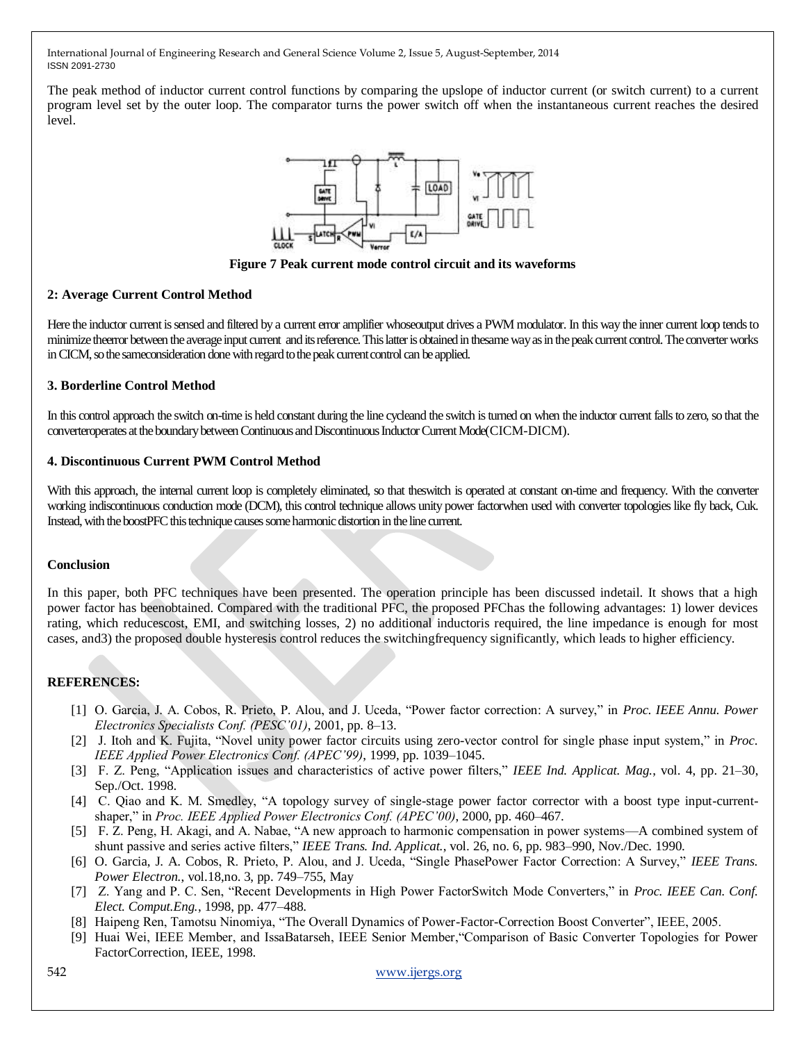The peak method of inductor current control functions by comparing the upslope of inductor current (or switch current) to a current program level set by the outer loop. The comparator turns the power switch off when the instantaneous current reaches the desired level.



**Figure 7 Peak current mode control circuit and its waveforms**

#### **2: Average Current Control Method**

Here the inductor current is sensed and filtered by a current error amplifier whoseoutput drives a PWM modulator. In this way the inner current loop tends to minimize theerror between the average input current and its reference. This latter is obtained in thesame way as in the peak current control. The converter works in CICM, so the sameconsideration done with regard to the peak current control can be applied.

## **3. Borderline Control Method**

In this control approach the switch on-time is held constant during the line cycleand the switch is turned on when the inductor current falls to zero, so that the converteroperates at the boundary between Continuous and Discontinuous Inductor Current Mode(CICM-DICM).

## **4. Discontinuous Current PWM Control Method**

With this approach, the internal current loop is completely eliminated, so that theswitch is operated at constant on-time and frequency. With the converter working indiscontinuous conduction mode (DCM), this control technique allows unity power factorwhen used with converter topologies like fly back, Cuk. Instead, with the boostPFC this technique causes some harmonic distortion in the line current.

## **Conclusion**

In this paper, both PFC techniques have been presented. The operation principle has been discussed indetail. It shows that a high power factor has beenobtained. Compared with the traditional PFC, the proposed PFChas the following advantages: 1) lower devices rating, which reducescost, EMI, and switching losses, 2) no additional inductoris required, the line impedance is enough for most cases, and3) the proposed double hysteresis control reduces the switchingfrequency significantly, which leads to higher efficiency.

## **REFERENCES:**

- [1] O. Garcia, J. A. Cobos, R. Prieto, P. Alou, and J. Uceda, "Power factor correction: A survey," in *Proc. IEEE Annu. Power Electronics Specialists Conf. (PESC'01)*, 2001, pp. 8–13.
- [2] J. Itoh and K. Fujita, "Novel unity power factor circuits using zero-vector control for single phase input system," in *Proc. IEEE Applied Power Electronics Conf. (APEC'99)*, 1999, pp. 1039–1045.
- [3] F. Z. Peng, "Application issues and characteristics of active power filters," *IEEE Ind. Applicat. Mag.*, vol. 4, pp. 21–30, Sep./Oct. 1998.
- [4] C. Qiao and K. M. Smedley, "A topology survey of single-stage power factor corrector with a boost type input-currentshaper," in *Proc. IEEE Applied Power Electronics Conf. (APEC'00)*, 2000, pp. 460–467.
- [5] F. Z. Peng, H. Akagi, and A. Nabae, "A new approach to harmonic compensation in power systems—A combined system of shunt passive and series active filters," *IEEE Trans. Ind. Applicat.*, vol. 26, no. 6, pp. 983–990, Nov./Dec. 1990.
- [6] O. Garcia, J. A. Cobos, R. Prieto, P. Alou, and J. Uceda, "Single PhasePower Factor Correction: A Survey," *IEEE Trans*. *Power Electron.*, vol.18,no. 3, pp. 749–755, May
- [7] Z. Yang and P. C. Sen, "Recent Developments in High Power FactorSwitch Mode Converters," in *Proc. IEEE Can. Conf. Elect. Comput.Eng.*, 1998, pp. 477–488.
- [8] Haipeng Ren, Tamotsu Ninomiya, "The Overall Dynamics of Power-Factor-Correction Boost Converter", IEEE, 2005.
- [9] Huai Wei, IEEE Member, and IssaBatarseh, IEEE Senior Member, "Comparison of Basic Converter Topologies for Power FactorCorrection, IEEE, 1998.